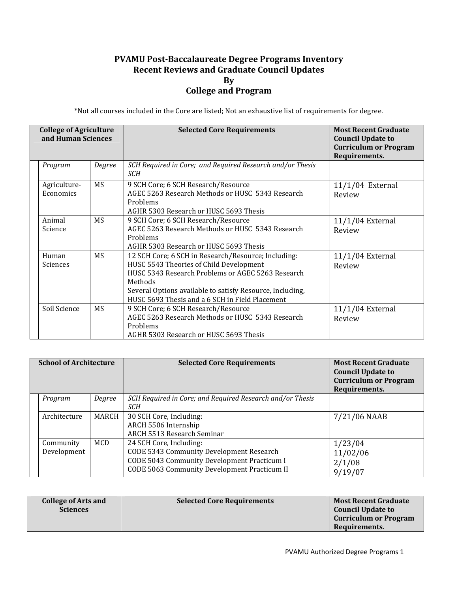## **PVAMU PostBaccalaureate Degree Programs Inventory Recent Reviews and Graduate Council Updates By College and Program**

\*Not all courses included in the Core are listed; Not an exhaustive list of requirements for degree.

| <b>College of Agriculture</b><br>and Human Sciences |           | <b>Selected Core Requirements</b>                                                                                                                                                                                                                                              | <b>Most Recent Graduate</b><br><b>Council Update to</b><br><b>Curriculum or Program</b><br>Requirements. |
|-----------------------------------------------------|-----------|--------------------------------------------------------------------------------------------------------------------------------------------------------------------------------------------------------------------------------------------------------------------------------|----------------------------------------------------------------------------------------------------------|
| Program                                             | Degree    | SCH Required in Core; and Required Research and/or Thesis<br>SCH                                                                                                                                                                                                               |                                                                                                          |
| Agriculture-<br>Economics                           | MS.       | 9 SCH Core; 6 SCH Research/Resource<br>AGEC 5263 Research Methods or HUSC 5343 Research<br>Problems<br>AGHR 5303 Research or HUSC 5693 Thesis                                                                                                                                  | $11/1/04$ External<br>Review                                                                             |
| Animal<br>Science                                   | MS        | 9 SCH Core; 6 SCH Research/Resource<br>AGEC 5263 Research Methods or HUSC 5343 Research<br>Problems<br>AGHR 5303 Research or HUSC 5693 Thesis                                                                                                                                  | 11/1/04 External<br>Review                                                                               |
| Human<br>Sciences                                   | <b>MS</b> | 12 SCH Core; 6 SCH in Research/Resource; Including:<br>HUSC 5543 Theories of Child Development<br>HUSC 5343 Research Problems or AGEC 5263 Research<br>Methods<br>Several Options available to satisfy Resource, Including,<br>HUSC 5693 Thesis and a 6 SCH in Field Placement | $11/1/04$ External<br>Review                                                                             |
| Soil Science                                        | <b>MS</b> | 9 SCH Core; 6 SCH Research/Resource<br>AGEC 5263 Research Methods or HUSC 5343 Research<br>Problems<br>AGHR 5303 Research or HUSC 5693 Thesis                                                                                                                                  | 11/1/04 External<br>Review                                                                               |

| <b>School of Architecture</b> |                          |            | <b>Selected Core Requirements</b>                                                                                                                                  | <b>Most Recent Graduate</b><br><b>Council Update to</b><br><b>Curriculum or Program</b><br>Requirements. |
|-------------------------------|--------------------------|------------|--------------------------------------------------------------------------------------------------------------------------------------------------------------------|----------------------------------------------------------------------------------------------------------|
|                               | Program                  | Degree     | SCH Required in Core; and Required Research and/or Thesis<br>SCH                                                                                                   |                                                                                                          |
|                               | Architecture             | MARCH      | 30 SCH Core, Including:<br>ARCH 5506 Internship<br>ARCH 5513 Research Seminar                                                                                      | 7/21/06 NAAB                                                                                             |
|                               | Community<br>Development | <b>MCD</b> | 24 SCH Core, Including:<br>CODE 5343 Community Development Research<br>CODE 5043 Community Development Practicum I<br>CODE 5063 Community Development Practicum II | 1/23/04<br>11/02/06<br>2/1/08<br>9/19/07                                                                 |

| <b>College of Arts and</b> | <b>Selected Core Requirements</b> | <b>Most Recent Graduate</b>  |
|----------------------------|-----------------------------------|------------------------------|
| <b>Sciences</b>            |                                   | Council Update to            |
|                            |                                   | <b>Curriculum or Program</b> |
|                            |                                   | Requirements.                |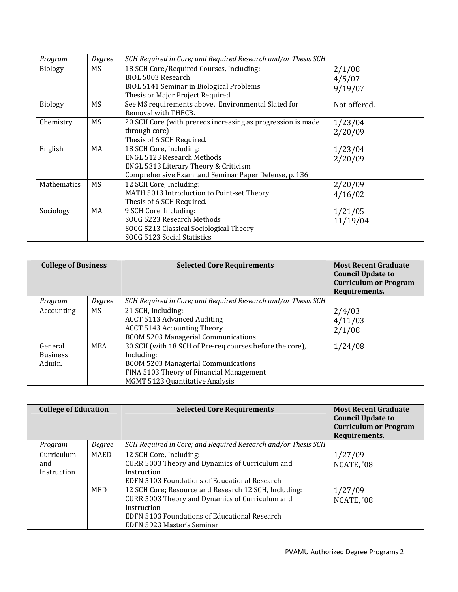| Program            | Degree    | SCH Required in Core; and Required Research and/or Thesis SCH |              |
|--------------------|-----------|---------------------------------------------------------------|--------------|
| <b>Biology</b>     | <b>MS</b> | 18 SCH Core/Required Courses, Including:                      | 2/1/08       |
|                    |           | BIOL 5003 Research                                            | 4/5/07       |
|                    |           | BIOL 5141 Seminar in Biological Problems                      | 9/19/07      |
|                    |           | Thesis or Major Project Required                              |              |
| <b>Biology</b>     | MS        | See MS requirements above. Environmental Slated for           | Not offered. |
|                    |           | Removal with THECB.                                           |              |
| Chemistry          | MS        | 20 SCH Core (with prereqs increasing as progression is made   | 1/23/04      |
|                    |           | through core)                                                 | 2/20/09      |
|                    |           | Thesis of 6 SCH Required.                                     |              |
| English            | MA        | 18 SCH Core, Including:                                       | 1/23/04      |
|                    |           | <b>ENGL 5123 Research Methods</b>                             | 2/20/09      |
|                    |           | ENGL 5313 Literary Theory & Criticism                         |              |
|                    |           | Comprehensive Exam, and Seminar Paper Defense, p. 136         |              |
| <b>Mathematics</b> | MS        | 12 SCH Core, Including:                                       | 2/20/09      |
|                    |           | MATH 5013 Introduction to Point-set Theory                    | 4/16/02      |
|                    |           | Thesis of 6 SCH Required.                                     |              |
| Sociology          | MA        | 9 SCH Core, Including:                                        | 1/21/05      |
|                    |           | SOCG 5223 Research Methods                                    | 11/19/04     |
|                    |           | SOCG 5213 Classical Sociological Theory                       |              |
|                    |           | SOCG 5123 Social Statistics                                   |              |

| <b>College of Business</b>           |            | <b>Selected Core Requirements</b>                                                                                                                                                                   | <b>Most Recent Graduate</b><br><b>Council Update to</b><br><b>Curriculum or Program</b><br>Requirements. |
|--------------------------------------|------------|-----------------------------------------------------------------------------------------------------------------------------------------------------------------------------------------------------|----------------------------------------------------------------------------------------------------------|
| Program                              | Degree     | SCH Required in Core; and Required Research and/or Thesis SCH                                                                                                                                       |                                                                                                          |
| Accounting                           | MS.        | 21 SCH, Including:<br><b>ACCT 5113 Advanced Auditing</b><br><b>ACCT 5143 Accounting Theory</b><br><b>BCOM 5203 Managerial Communications</b>                                                        | 2/4/03<br>4/11/03<br>2/1/08                                                                              |
| General<br><b>Business</b><br>Admin. | <b>MBA</b> | 30 SCH (with 18 SCH of Pre-req courses before the core),<br>Including:<br><b>BCOM 5203 Managerial Communications</b><br>FINA 5103 Theory of Financial Management<br>MGMT 5123 Quantitative Analysis | 1/24/08                                                                                                  |

| <b>College of Education</b>      |        | <b>Selected Core Requirements</b>                                                                                                                                                                      | <b>Most Recent Graduate</b><br><b>Council Update to</b><br><b>Curriculum or Program</b><br>Requirements. |
|----------------------------------|--------|--------------------------------------------------------------------------------------------------------------------------------------------------------------------------------------------------------|----------------------------------------------------------------------------------------------------------|
| Program                          | Degree | SCH Required in Core; and Required Research and/or Thesis SCH                                                                                                                                          |                                                                                                          |
| Curriculum<br>and<br>Instruction | MAED   | 12 SCH Core, Including:<br>CURR 5003 Theory and Dynamics of Curriculum and<br>Instruction<br>EDFN 5103 Foundations of Educational Research                                                             | 1/27/09<br>NCATE, '08                                                                                    |
|                                  | MED    | 12 SCH Core; Resource and Research 12 SCH, Including:<br>CURR 5003 Theory and Dynamics of Curriculum and<br>Instruction<br>EDFN 5103 Foundations of Educational Research<br>EDFN 5923 Master's Seminar | 1/27/09<br>NCATE, '08                                                                                    |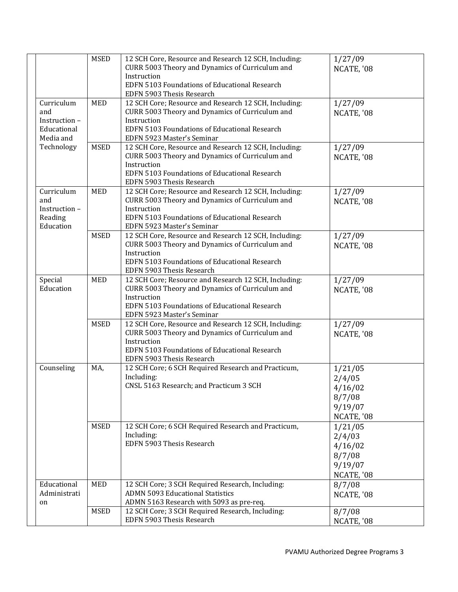|              | <b>MSED</b> | 12 SCH Core, Resource and Research 12 SCH, Including:<br>CURR 5003 Theory and Dynamics of Curriculum and | 1/27/09<br>NCATE, '08 |
|--------------|-------------|----------------------------------------------------------------------------------------------------------|-----------------------|
|              |             | Instruction<br>EDFN 5103 Foundations of Educational Research<br>EDFN 5903 Thesis Research                |                       |
| Curriculum   | <b>MED</b>  | 12 SCH Core; Resource and Research 12 SCH, Including:                                                    | 1/27/09               |
| and          |             | CURR 5003 Theory and Dynamics of Curriculum and                                                          | NCATE, '08            |
| Instruction- |             | Instruction                                                                                              |                       |
| Educational  |             | EDFN 5103 Foundations of Educational Research                                                            |                       |
| Media and    |             | EDFN 5923 Master's Seminar                                                                               |                       |
| Technology   | <b>MSED</b> | 12 SCH Core, Resource and Research 12 SCH, Including:                                                    | 1/27/09               |
|              |             | CURR 5003 Theory and Dynamics of Curriculum and<br>Instruction                                           | NCATE, '08            |
|              |             | EDFN 5103 Foundations of Educational Research                                                            |                       |
|              |             | EDFN 5903 Thesis Research                                                                                |                       |
| Curriculum   | <b>MED</b>  | 12 SCH Core; Resource and Research 12 SCH, Including:                                                    | 1/27/09               |
| and          |             | CURR 5003 Theory and Dynamics of Curriculum and                                                          | NCATE, '08            |
| Instruction- |             | Instruction                                                                                              |                       |
| Reading      |             | EDFN 5103 Foundations of Educational Research                                                            |                       |
| Education    |             | EDFN 5923 Master's Seminar                                                                               |                       |
|              | <b>MSED</b> | 12 SCH Core, Resource and Research 12 SCH, Including:                                                    | 1/27/09               |
|              |             | CURR 5003 Theory and Dynamics of Curriculum and                                                          | NCATE, '08            |
|              |             | Instruction<br>EDFN 5103 Foundations of Educational Research                                             |                       |
|              |             | EDFN 5903 Thesis Research                                                                                |                       |
| Special      | <b>MED</b>  | 12 SCH Core; Resource and Research 12 SCH, Including:                                                    | 1/27/09               |
| Education    |             | CURR 5003 Theory and Dynamics of Curriculum and                                                          | NCATE, '08            |
|              |             | Instruction                                                                                              |                       |
|              |             | EDFN 5103 Foundations of Educational Research                                                            |                       |
|              |             | EDFN 5923 Master's Seminar                                                                               |                       |
|              | <b>MSED</b> | 12 SCH Core, Resource and Research 12 SCH, Including:                                                    | 1/27/09               |
|              |             | CURR 5003 Theory and Dynamics of Curriculum and                                                          | NCATE, '08            |
|              |             | Instruction<br>EDFN 5103 Foundations of Educational Research                                             |                       |
|              |             | EDFN 5903 Thesis Research                                                                                |                       |
| Counseling   | MA,         | 12 SCH Core; 6 SCH Required Research and Practicum,                                                      | 1/21/05               |
|              |             | Including:                                                                                               | 2/4/05                |
|              |             | CNSL 5163 Research; and Practicum 3 SCH                                                                  | 4/16/02               |
|              |             |                                                                                                          | 8/7/08                |
|              |             |                                                                                                          | 9/19/07               |
|              |             |                                                                                                          | NCATE, '08            |
|              | <b>MSED</b> | 12 SCH Core; 6 SCH Required Research and Practicum,                                                      | 1/21/05               |
|              |             | Including:                                                                                               | 2/4/03                |
|              |             | EDFN 5903 Thesis Research                                                                                | 4/16/02               |
|              |             |                                                                                                          | 8/7/08                |
|              |             |                                                                                                          | 9/19/07               |
|              |             |                                                                                                          | NCATE, '08            |
| Educational  | <b>MED</b>  | 12 SCH Core; 3 SCH Required Research, Including:                                                         | 8/7/08                |
| Administrati |             | <b>ADMN 5093 Educational Statistics</b>                                                                  | NCATE, '08            |
| on           |             | ADMN 5163 Research with 5093 as pre-req.                                                                 |                       |
|              | <b>MSED</b> | 12 SCH Core; 3 SCH Required Research, Including:                                                         | 8/7/08                |
|              |             | EDFN 5903 Thesis Research                                                                                | NCATE, '08            |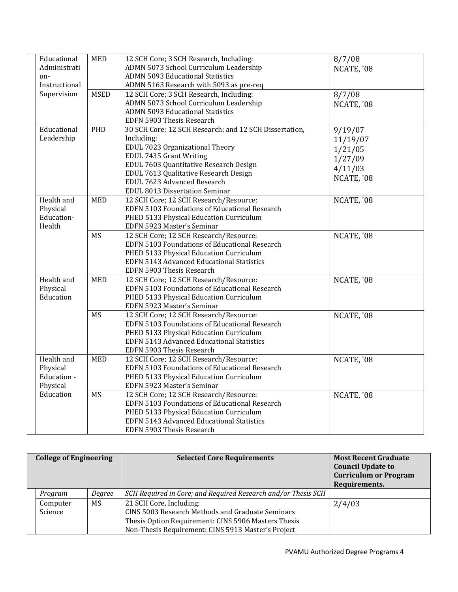| Educational   | <b>MED</b>  | 12 SCH Core; 3 SCH Research, Including:                | 8/7/08     |
|---------------|-------------|--------------------------------------------------------|------------|
| Administrati  |             | ADMN 5073 School Curriculum Leadership                 | NCATE, '08 |
| on-           |             | <b>ADMN 5093 Educational Statistics</b>                |            |
| Instructional |             | ADMN 5163 Research with 5093 as pre-req                |            |
| Supervision   | <b>MSED</b> | 12 SCH Core; 3 SCH Research, Including:                | 8/7/08     |
|               |             | ADMN 5073 School Curriculum Leadership                 | NCATE, '08 |
|               |             | <b>ADMN 5093 Educational Statistics</b>                |            |
|               |             | EDFN 5903 Thesis Research                              |            |
| Educational   | PHD         | 30 SCH Core; 12 SCH Research; and 12 SCH Dissertation, | 9/19/07    |
| Leadership    |             | Including:                                             | 11/19/07   |
|               |             | EDUL 7023 Organizational Theory                        |            |
|               |             | EDUL 7435 Grant Writing                                | 1/21/05    |
|               |             | EDUL 7603 Quantitative Research Design                 | 1/27/09    |
|               |             | EDUL 7613 Qualitative Research Design                  | 4/11/03    |
|               |             | EDUL 7623 Advanced Research                            | NCATE, '08 |
|               |             | EDUL 8013 Dissertation Seminar                         |            |
| Health and    | <b>MED</b>  | 12 SCH Core; 12 SCH Research/Resource:                 | NCATE, '08 |
| Physical      |             | EDFN 5103 Foundations of Educational Research          |            |
| Education-    |             | PHED 5133 Physical Education Curriculum                |            |
| Health        |             | EDFN 5923 Master's Seminar                             |            |
|               | <b>MS</b>   | 12 SCH Core; 12 SCH Research/Resource:                 |            |
|               |             | EDFN 5103 Foundations of Educational Research          | NCATE, '08 |
|               |             |                                                        |            |
|               |             | PHED 5133 Physical Education Curriculum                |            |
|               |             | EDFN 5143 Advanced Educational Statistics              |            |
|               |             | EDFN 5903 Thesis Research                              |            |
| Health and    | <b>MED</b>  | 12 SCH Core; 12 SCH Research/Resource:                 | NCATE, '08 |
| Physical      |             | EDFN 5103 Foundations of Educational Research          |            |
| Education     |             | PHED 5133 Physical Education Curriculum                |            |
|               |             | EDFN 5923 Master's Seminar                             |            |
|               | <b>MS</b>   | 12 SCH Core; 12 SCH Research/Resource:                 | NCATE, '08 |
|               |             | EDFN 5103 Foundations of Educational Research          |            |
|               |             | PHED 5133 Physical Education Curriculum                |            |
|               |             | EDFN 5143 Advanced Educational Statistics              |            |
|               |             | EDFN 5903 Thesis Research                              |            |
| Health and    | <b>MED</b>  | 12 SCH Core; 12 SCH Research/Resource:                 | NCATE, '08 |
| Physical      |             | EDFN 5103 Foundations of Educational Research          |            |
| Education -   |             | PHED 5133 Physical Education Curriculum                |            |
| Physical      |             | EDFN 5923 Master's Seminar                             |            |
| Education     | <b>MS</b>   | 12 SCH Core; 12 SCH Research/Resource:                 | NCATE, '08 |
|               |             | EDFN 5103 Foundations of Educational Research          |            |
|               |             | PHED 5133 Physical Education Curriculum                |            |
|               |             | EDFN 5143 Advanced Educational Statistics              |            |
|               |             | EDFN 5903 Thesis Research                              |            |

| <b>College of Engineering</b> |        | <b>Selected Core Requirements</b>                                                                                                                                                               | <b>Most Recent Graduate</b><br><b>Council Update to</b><br><b>Curriculum or Program</b><br>Requirements. |
|-------------------------------|--------|-------------------------------------------------------------------------------------------------------------------------------------------------------------------------------------------------|----------------------------------------------------------------------------------------------------------|
| Program                       | Degree | SCH Required in Core; and Required Research and/or Thesis SCH                                                                                                                                   |                                                                                                          |
| Computer<br>Science           | MS.    | 21 SCH Core, Including:<br><b>CINS 5003 Research Methods and Graduate Seminars</b><br>Thesis Option Requirement: CINS 5906 Masters Thesis<br>Non-Thesis Requirement: CINS 5913 Master's Project | 2/4/03                                                                                                   |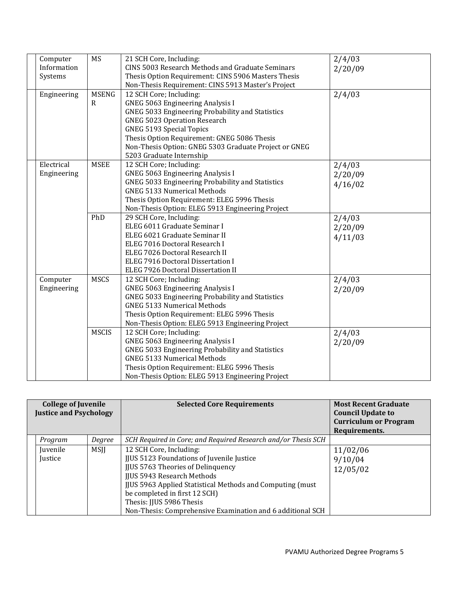| Computer    | MS           | 21 SCH Core, Including:                               | 2/4/03  |
|-------------|--------------|-------------------------------------------------------|---------|
| Information |              | CINS 5003 Research Methods and Graduate Seminars      | 2/20/09 |
| Systems     |              | Thesis Option Requirement: CINS 5906 Masters Thesis   |         |
|             |              | Non-Thesis Requirement: CINS 5913 Master's Project    |         |
| Engineering | <b>MSENG</b> | 12 SCH Core; Including:                               | 2/4/03  |
|             | R            | <b>GNEG 5063 Engineering Analysis I</b>               |         |
|             |              | GNEG 5033 Engineering Probability and Statistics      |         |
|             |              | <b>GNEG 5023 Operation Research</b>                   |         |
|             |              | <b>GNEG 5193 Special Topics</b>                       |         |
|             |              | Thesis Option Requirement: GNEG 5086 Thesis           |         |
|             |              | Non-Thesis Option: GNEG 5303 Graduate Project or GNEG |         |
|             |              | 5203 Graduate Internship                              |         |
| Electrical  | <b>MSEE</b>  | 12 SCH Core; Including:                               | 2/4/03  |
| Engineering |              | <b>GNEG 5063 Engineering Analysis I</b>               | 2/20/09 |
|             |              | GNEG 5033 Engineering Probability and Statistics      | 4/16/02 |
|             |              | <b>GNEG 5133 Numerical Methods</b>                    |         |
|             |              | Thesis Option Requirement: ELEG 5996 Thesis           |         |
|             |              | Non-Thesis Option: ELEG 5913 Engineering Project      |         |
|             | PhD          | 29 SCH Core, Including:                               | 2/4/03  |
|             |              | ELEG 6011 Graduate Seminar I                          | 2/20/09 |
|             |              | ELEG 6021 Graduate Seminar II                         | 4/11/03 |
|             |              | ELEG 7016 Doctoral Research I                         |         |
|             |              | ELEG 7026 Doctoral Research II                        |         |
|             |              | ELEG 7916 Doctoral Dissertation I                     |         |
|             |              | ELEG 7926 Doctoral Dissertation II                    |         |
| Computer    | <b>MSCS</b>  | 12 SCH Core; Including:                               | 2/4/03  |
| Engineering |              | <b>GNEG 5063 Engineering Analysis I</b>               | 2/20/09 |
|             |              | GNEG 5033 Engineering Probability and Statistics      |         |
|             |              | <b>GNEG 5133 Numerical Methods</b>                    |         |
|             |              | Thesis Option Requirement: ELEG 5996 Thesis           |         |
|             |              | Non-Thesis Option: ELEG 5913 Engineering Project      |         |
|             | <b>MSCIS</b> | 12 SCH Core; Including:                               | 2/4/03  |
|             |              | <b>GNEG 5063 Engineering Analysis I</b>               | 2/20/09 |
|             |              | GNEG 5033 Engineering Probability and Statistics      |         |
|             |              | <b>GNEG 5133 Numerical Methods</b>                    |         |
|             |              | Thesis Option Requirement: ELEG 5996 Thesis           |         |
|             |              | Non-Thesis Option: ELEG 5913 Engineering Project      |         |

| <b>College of Juvenile</b><br><b>Justice and Psychology</b> |             | <b>Selected Core Requirements</b>                                                                                                                                                                                                                                                                                                                     | <b>Most Recent Graduate</b><br><b>Council Update to</b><br><b>Curriculum or Program</b><br>Requirements. |
|-------------------------------------------------------------|-------------|-------------------------------------------------------------------------------------------------------------------------------------------------------------------------------------------------------------------------------------------------------------------------------------------------------------------------------------------------------|----------------------------------------------------------------------------------------------------------|
| Program                                                     | Degree      | SCH Required in Core; and Required Research and/or Thesis SCH                                                                                                                                                                                                                                                                                         |                                                                                                          |
| <i>s Iuvenile</i><br><i><u><b>Iustice</b></u></i>           | <b>MSII</b> | 12 SCH Core, Including:<br>JJUS 5123 Foundations of Juvenile Justice<br><b>JJUS 5763 Theories of Delinquency</b><br><b>IIUS 5943 Research Methods</b><br><b>JJUS 5963 Applied Statistical Methods and Computing (must)</b><br>be completed in first 12 SCH)<br>Thesis: JJUS 5986 Thesis<br>Non-Thesis: Comprehensive Examination and 6 additional SCH | 11/02/06<br>9/10/04<br>12/05/02                                                                          |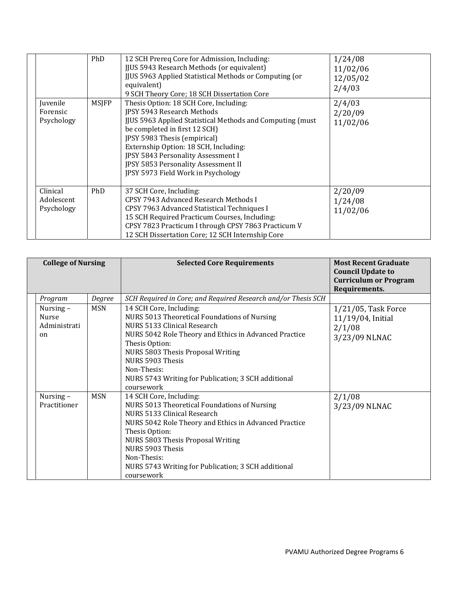| Juvenile<br>Forensic<br>Psychology   | PhD<br><b>MSJFP</b> | 12 SCH Prereq Core for Admission, Including:<br>JJUS 5943 Research Methods (or equivalent)<br><b>JJUS 5963 Applied Statistical Methods or Computing (or</b><br>equivalent)<br>9 SCH Theory Core; 18 SCH Dissertation Core<br>Thesis Option: 18 SCH Core, Including:<br>JPSY 5943 Research Methods<br><b>JJUS 5963 Applied Statistical Methods and Computing (must)</b><br>be completed in first 12 SCH)<br>JPSY 5983 Thesis (empirical)<br>Externship Option: 18 SCH, Including:<br>JPSY 5843 Personality Assessment I | 1/24/08<br>11/02/06<br>12/05/02<br>2/4/03<br>2/4/03<br>2/20/09<br>11/02/06 |
|--------------------------------------|---------------------|------------------------------------------------------------------------------------------------------------------------------------------------------------------------------------------------------------------------------------------------------------------------------------------------------------------------------------------------------------------------------------------------------------------------------------------------------------------------------------------------------------------------|----------------------------------------------------------------------------|
| Clinical<br>Adolescent<br>Psychology | PhD                 | JPSY 5853 Personality Assessment II<br>JPSY 5973 Field Work in Psychology<br>37 SCH Core, Including:<br>CPSY 7943 Advanced Research Methods I<br>CPSY 7963 Advanced Statistical Techniques I<br>15 SCH Required Practicum Courses, Including:<br>CPSY 7823 Practicum I through CPSY 7863 Practicum V                                                                                                                                                                                                                   | 2/20/09<br>1/24/08<br>11/02/06                                             |
|                                      |                     | 12 SCH Dissertation Core; 12 SCH Internship Core                                                                                                                                                                                                                                                                                                                                                                                                                                                                       |                                                                            |

| <b>College of Nursing</b> |                                                |            | <b>Selected Core Requirements</b>                                                                                                                                                                                                                                                                                              | <b>Most Recent Graduate</b><br><b>Council Update to</b><br><b>Curriculum or Program</b><br>Requirements. |
|---------------------------|------------------------------------------------|------------|--------------------------------------------------------------------------------------------------------------------------------------------------------------------------------------------------------------------------------------------------------------------------------------------------------------------------------|----------------------------------------------------------------------------------------------------------|
|                           | Program                                        | Degree     | SCH Required in Core; and Required Research and/or Thesis SCH                                                                                                                                                                                                                                                                  |                                                                                                          |
|                           | Nursing-<br><b>Nurse</b><br>Administrati<br>on | <b>MSN</b> | 14 SCH Core, Including:<br>NURS 5013 Theoretical Foundations of Nursing<br>NURS 5133 Clinical Research<br>NURS 5042 Role Theory and Ethics in Advanced Practice<br>Thesis Option:<br>NURS 5803 Thesis Proposal Writing<br>NURS 5903 Thesis<br>Non-Thesis:<br>NURS 5743 Writing for Publication; 3 SCH additional<br>coursework | $1/21/05$ , Task Force<br>11/19/04, Initial<br>2/1/08<br>3/23/09 NLNAC                                   |
|                           | Nursing-<br>Practitioner                       | <b>MSN</b> | 14 SCH Core, Including:<br>NURS 5013 Theoretical Foundations of Nursing<br>NURS 5133 Clinical Research<br>NURS 5042 Role Theory and Ethics in Advanced Practice<br>Thesis Option:<br>NURS 5803 Thesis Proposal Writing<br>NURS 5903 Thesis<br>Non-Thesis:<br>NURS 5743 Writing for Publication; 3 SCH additional<br>coursework | 2/1/08<br>3/23/09 NLNAC                                                                                  |